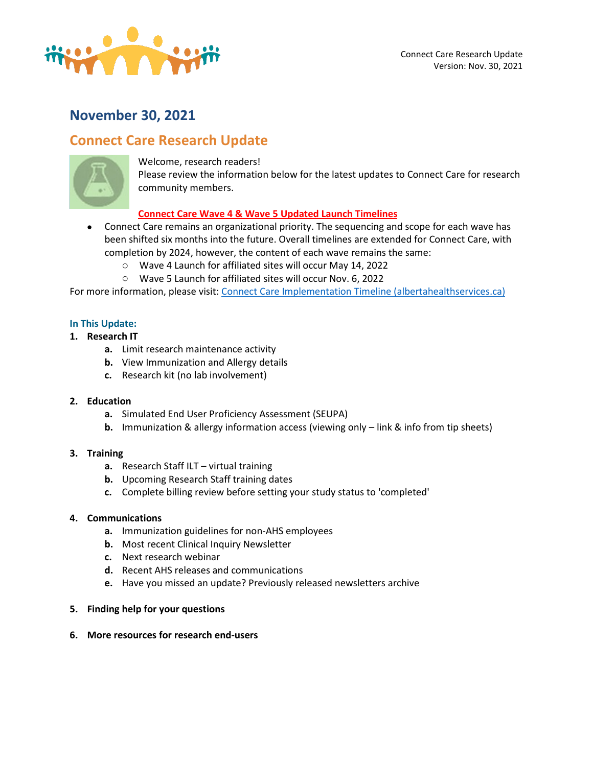

# **November 30, 2021**

# **Connect Care Research Update**



Welcome, research readers!

Please review the information below for the latest updates to Connect Care for research community members.

# **Connect Care Wave 4 & Wave 5 Updated Launch Timelines**

- Connect Care remains an organizational priority. The sequencing and scope for each wave has been shifted six months into the future. Overall timelines are extended for Connect Care, with completion by 2024, however, the content of each wave remains the same:
	- o Wave 4 Launch for affiliated sites will occur May 14, 2022
	- o Wave 5 Launch for affiliated sites will occur Nov. 6, 2022

For more information, please visit[: Connect Care Implementation Timeline \(albertahealthservices.ca\)](https://insite.albertahealthservices.ca/main/assets/cis/tms-cis-connect-care-infographic-site-implementation-timeline.pdf)

# **In This Update:**

- **1. Research IT**
	- **a.** Limit research maintenance activity
	- **b.** View Immunization and Allergy details
	- **c.** Research kit (no lab involvement)

# **2. Education**

- **a.** Simulated End User Proficiency Assessment (SEUPA)
- **b.** Immunization & allergy information access (viewing only link & info from tip sheets)
- **3. Training**
	- **a.** Research Staff ILT virtual training
	- **b.** Upcoming Research Staff training dates
	- **c.** Complete billing review before setting your study status to 'completed'

# **4. Communications**

- **a.** Immunization guidelines for non-AHS employees
- **b.** Most recent Clinical Inquiry Newsletter
- **c.** Next research webinar
- **d.** Recent AHS releases and communications
- **e.** Have you missed an update? Previously released newsletters archive

# **5. Finding help for your questions**

**6. More resources for research end-users**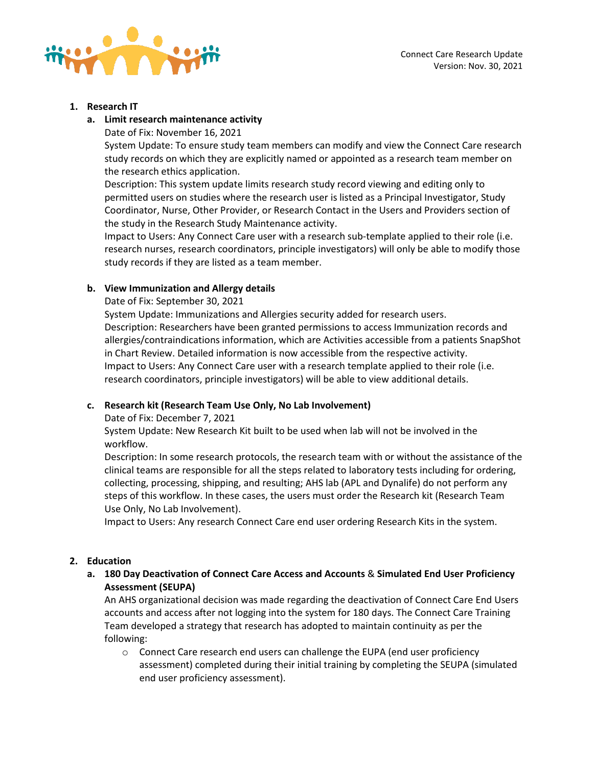

#### **1. Research IT**

- **a. Limit research maintenance activity**
	- Date of Fix: November 16, 2021

System Update: To ensure study team members can modify and view the Connect Care research study records on which they are explicitly named or appointed as a research team member on the research ethics application.

Description: This system update limits research study record viewing and editing only to permitted users on studies where the research user is listed as a Principal Investigator, Study Coordinator, Nurse, Other Provider, or Research Contact in the Users and Providers section of the study in the Research Study Maintenance activity.

Impact to Users: Any Connect Care user with a research sub-template applied to their role (i.e. research nurses, research coordinators, principle investigators) will only be able to modify those study records if they are listed as a team member.

# **b. View Immunization and Allergy details**

Date of Fix: September 30, 2021

System Update: Immunizations and Allergies security added for research users. Description: Researchers have been granted permissions to access Immunization records and allergies/contraindications information, which are Activities accessible from a patients SnapShot in Chart Review. Detailed information is now accessible from the respective activity. Impact to Users: Any Connect Care user with a research template applied to their role (i.e. research coordinators, principle investigators) will be able to view additional details.

# **c. Research kit (Research Team Use Only, No Lab Involvement)**

Date of Fix: December 7, 2021

System Update: New Research Kit built to be used when lab will not be involved in the workflow.

Description: In some research protocols, the research team with or without the assistance of the clinical teams are responsible for all the steps related to laboratory tests including for ordering, collecting, processing, shipping, and resulting; AHS lab (APL and Dynalife) do not perform any steps of this workflow. In these cases, the users must order the Research kit (Research Team Use Only, No Lab Involvement).

Impact to Users: Any research Connect Care end user ordering Research Kits in the system.

# **2. Education**

**a. 180 Day Deactivation of Connect Care Access and Accounts** & **Simulated End User Proficiency Assessment (SEUPA)**

An AHS organizational decision was made regarding the deactivation of Connect Care End Users accounts and access after not logging into the system for 180 days. The Connect Care Training Team developed a strategy that research has adopted to maintain continuity as per the following:

o Connect Care research end users can challenge the EUPA (end user proficiency assessment) completed during their initial training by completing the SEUPA (simulated end user proficiency assessment).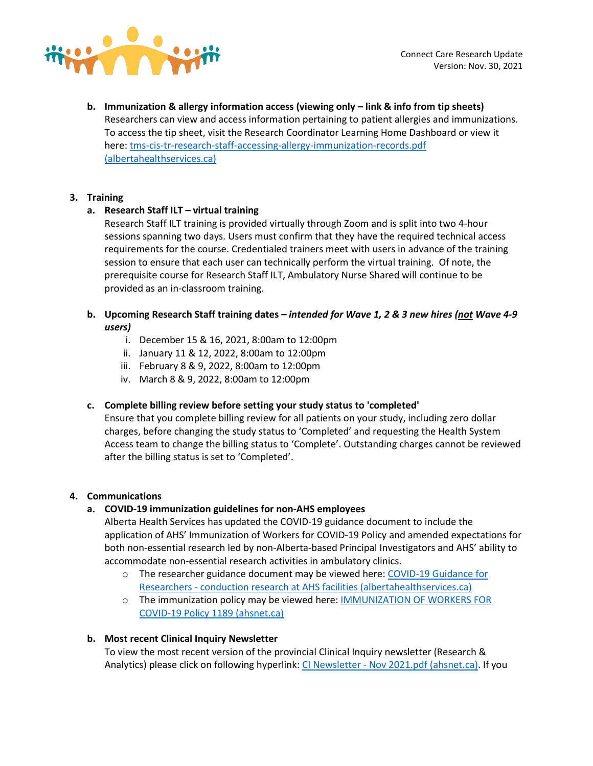

**b. Immunization & allergy information access (viewing only – link & info from tip sheets)** Researchers can view and access information pertaining to patient allergies and immunizations. To access the tip sheet, visit the Research Coordinator Learning Home Dashboard or view it here: [tms-cis-tr-research-staff-accessing-allergy-immunization-records.pdf](https://insite.albertahealthservices.ca/Main/assets/cistr/tms-cis-tr-research-staff-accessing-allergy-immunization-records.pdf)  [\(albertahealthservices.ca\)](https://insite.albertahealthservices.ca/Main/assets/cistr/tms-cis-tr-research-staff-accessing-allergy-immunization-records.pdf)

# **3. Training**

# **a. Research Staff ILT – virtual training**

Research Staff ILT training is provided virtually through Zoom and is split into two 4-hour sessions spanning two days. Users must confirm that they have the required technical access requirements for the course. Credentialed trainers meet with users in advance of the training session to ensure that each user can technically perform the virtual training. Of note, the prerequisite course for Research Staff ILT, Ambulatory Nurse Shared will continue to be provided as an in-classroom training.

# **b. Upcoming Research Staff training dates** *– intended for Wave 1, 2 & 3 new hires (not Wave 4-9 users)*

- i. December 15 & 16, 2021, 8:00am to 12:00pm
- ii. January 11 & 12, 2022, 8:00am to 12:00pm
- iii. February 8 & 9, 2022, 8:00am to 12:00pm
- iv. March 8 & 9, 2022, 8:00am to 12:00pm

# **c. Complete billing review before setting your study status to 'completed'**

Ensure that you complete billing review for all patients on your study, including zero dollar charges, before changing the study status to 'Completed' and requesting the Health System Access team to change the billing status to 'Complete'. Outstanding charges cannot be reviewed after the billing status is set to 'Completed'.

# **4. Communications**

# **a. COVID-19 immunization guidelines for non-AHS employees**

Alberta Health Services has updated the COVID-19 guidance document to include the application of AHS' Immunization of Workers for COVID-19 Policy and amended expectations for both non-essential research led by non-Alberta-based Principal Investigators and AHS' ability to accommodate non-essential research activities in ambulatory clinics.

- o The researcher guidance document may be viewed here: [COVID-19 Guidance for](https://www.albertahealthservices.ca/assets/info/ppih/if-ppih-covid-19-research-access-memo.pdf)  Researchers - [conduction research at AHS facilities \(albertahealthservices.ca\)](https://www.albertahealthservices.ca/assets/info/ppih/if-ppih-covid-19-research-access-memo.pdf)
- o The immunization policy may be viewed here[: IMMUNIZATION OF WORKERS FOR](https://extranet.ahsnet.ca/teams/policydocuments/1/clp-ahs-immunization-workers-1189.pdf)  [COVID-19 Policy 1189 \(ahsnet.ca\)](https://extranet.ahsnet.ca/teams/policydocuments/1/clp-ahs-immunization-workers-1189.pdf)

# **b. Most recent Clinical Inquiry Newsletter**

To view the most recent version of the provincial Clinical Inquiry newsletter (Research & Analytics) please click on following hyperlink: CI Newsletter - [Nov 2021.pdf \(ahsnet.ca\).](https://extranet.ahsnet.ca/teams/CCCommunity/CCWG/Documents/CI%20Newsletter%20-%20Nov%202021.pdf) If you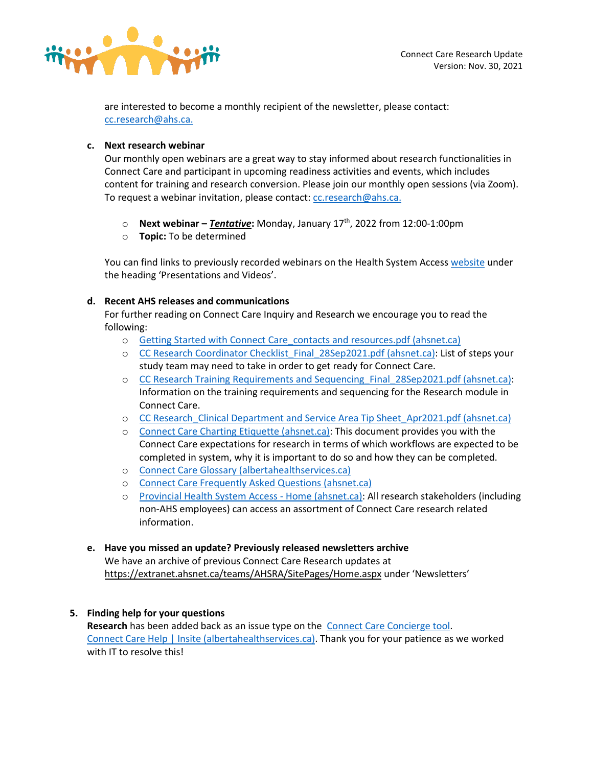

are interested to become a monthly recipient of the newsletter, please contact: [cc.research@ahs.ca.](mailto:CC.research@ahs.ca)

# **c. Next research webinar**

Our monthly open webinars are a great way to stay informed about research functionalities in Connect Care and participant in upcoming readiness activities and events, which includes content for training and research conversion. Please join our monthly open sessions (via Zoom). To request a webinar invitation, please contact: [cc.research@ahs.ca.](mailto:CC.research@ahs.ca)

- o **Next webinar –** *Tentative***:** Monday, January 17th, 2022 from 12:00-1:00pm
- o **Topic:** To be determined

You can find links to previously recorded webinars on the Health System Acces[s website](https://extranet.ahsnet.ca/teams/AHSRA/SitePages/Home.aspx) under the heading 'Presentations and Videos'.

# **d. Recent AHS releases and communications**

For further reading on Connect Care Inquiry and Research we encourage you to read the following:

- o [Getting Started with Connect Care\\_contacts and resources.pdf \(ahsnet.ca\)](https://extranet.ahsnet.ca/teams/AHSRA/Connect%20Care%20Library/Getting%20Started%20with%20Connect%20Care_contacts%20and%20resources.pdf)
- o [CC Research Coordinator Checklist\\_Final\\_28Sep2021.pdf \(ahsnet.ca\):](https://extranet.ahsnet.ca/teams/AHSRA/Connect%20Care%20Library/CC%20Research%20Coordinator%20Checklist_Final_28Sep2021.pdf) List of steps your study team may need to take in order to get ready for Connect Care.
- o CC Research Training [Requirements and Sequencing\\_Final\\_28Sep2021.pdf \(ahsnet.ca\):](https://extranet.ahsnet.ca/teams/AHSRA/Connect%20Care%20Library/CC%20Research%20Training%20Requirements%20and%20Sequencing_Final_28Sep2021.pdf) Information on the training requirements and sequencing for the Research module in Connect Care.
- o [CC Research\\_Clinical Department and Service Area Tip Sheet\\_Apr2021.pdf \(ahsnet.ca\)](https://extranet.ahsnet.ca/teams/AHSRA/Connect%20Care%20Library/CC%20Research_Clinical%20Department%20and%20Service%20Area%20Tip%20Sheet_Apr2021.pdf)
- o [Connect Care Charting Etiquette \(ahsnet.ca\):](https://extranet.ahsnet.ca/teams/AHSRA/Connect%20Care%20Library/AHS_CC_Research_Charting_Etiquette.pdf) This document provides you with the Connect Care expectations for research in terms of which workflows are expected to be completed in system, why it is important to do so and how they can be completed.
- o [Connect Care Glossary \(albertahealthservices.ca\)](https://insite.albertahealthservices.ca/main/assets/cis/tms-cis-connect-care-glossary-apps.pdf)
- o [Connect Care Frequently Asked Questions \(ahsnet.ca\)](https://extranet.ahsnet.ca/teams/AHSRA/Connect%20Care%20Library/Connect%20Care%20FAQs.pdf)
- o [Provincial Health System Access -](https://extranet.ahsnet.ca/teams/AHSRA/SitePages/Home.aspx) Home (ahsnet.ca): All research stakeholders (including non-AHS employees) can access an assortment of Connect Care research related information.

# **e. Have you missed an update? Previously released newsletters archive**

We have an archive of previous Connect Care Research updates at [https://extranet.ahsnet.ca/teams/AHSRA/SitePages/Home.aspx](https://urldefense.proofpoint.com/v2/url?u=https-3A__extranet.ahsnet.ca_teams_AHSRA_SitePages_Home.aspx&d=DwMFAg&c=hmKldkTQNOmajg2omeC5PQ&r=2OQbdOTrkvxbnKKfaQBhug&m=utY5QxVKddqs_W8JnP8I7xne3d9eyzqR-E6Hc9FhwhA&s=PMqxiVeEuJbdy3QtkOkFJk10W_vLRYehtAPsMJZ-hT4&e=) under 'Newsletters'

# **5. Finding help for your questions**

Research has been added back as an issue type on the **Connect Care Concierge tool**. [Connect Care Help | Insite \(albertahealthservices.ca\).](https://insite.albertahealthservices.ca/Main/cc/SitePages/ConnectCareHelp.aspx) Thank you for your patience as we worked with IT to resolve this!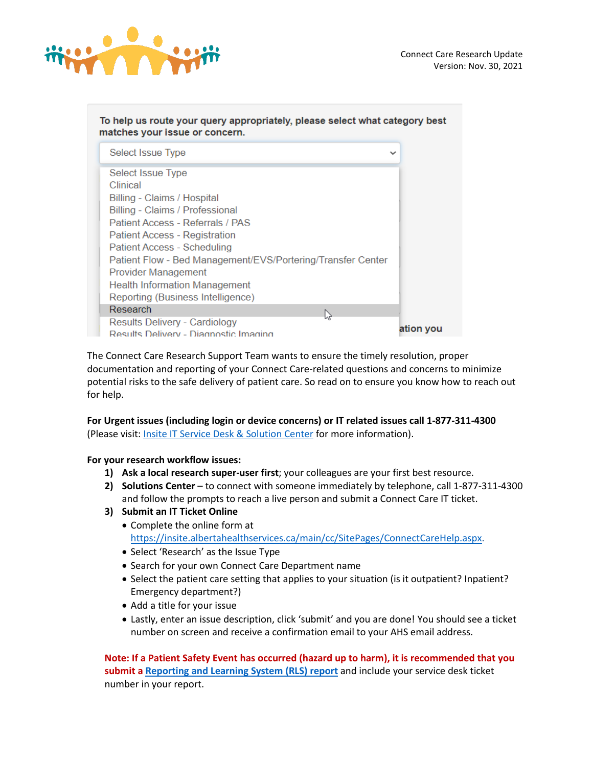

| To help us route your query appropriately, please select what category best<br>matches your issue or concern. |              |
|---------------------------------------------------------------------------------------------------------------|--------------|
| Select Issue Type                                                                                             | $\checkmark$ |
| Select Issue Type                                                                                             |              |
| Clinical                                                                                                      |              |
| Billing - Claims / Hospital                                                                                   |              |
| Billing - Claims / Professional                                                                               |              |
| Patient Access - Referrals / PAS                                                                              |              |
| <b>Patient Access - Registration</b>                                                                          |              |
| Patient Access - Scheduling                                                                                   |              |
| Patient Flow - Bed Management/EVS/Portering/Transfer Center                                                   |              |
| Provider Management                                                                                           |              |
| <b>Health Information Management</b>                                                                          |              |
| Reporting (Business Intelligence)                                                                             |              |
| Research<br>じ                                                                                                 |              |
| <b>Results Delivery - Cardiology</b>                                                                          |              |
| Results Delivery - Diagnostic Imaging                                                                         | ation you    |

The Connect Care Research Support Team wants to ensure the timely resolution, proper documentation and reporting of your Connect Care-related questions and concerns to minimize potential risks to the safe delivery of patient care. So read on to ensure you know how to reach out for help.

# **For Urgent issues (including login or device concerns) or IT related issues call 1-877-311-4300**  (Please visit: **Insite IT Service Desk & Solution Center** for more information).

**For your research workflow issues:** 

- **1) Ask a local research super-user first**; your colleagues are your first best resource.
- **2) Solutions Center**  to connect with someone immediately by telephone, call 1-877-311-4300 and follow the prompts to reach a live person and submit a Connect Care IT ticket.
- **3) Submit an IT Ticket Online**
	- Complete the online form at [https://insite.albertahealthservices.ca/main/cc/SitePages/ConnectCareHelp.aspx.](https://insite.albertahealthservices.ca/main/cc/SitePages/ConnectCareHelp.aspx)
	- Select 'Research' as the Issue Type
	- Search for your own Connect Care Department name
	- Select the patient care setting that applies to your situation (is it outpatient? Inpatient? Emergency department?)
	- Add a title for your issue
	- Lastly, enter an issue description, click 'submit' and you are done! You should see a ticket number on screen and receive a confirmation email to your AHS email address.

**Note: If a Patient Safety Event has occurred (hazard up to harm), it is recommended that you submit a [Reporting and Learning System \(RLS\) report](https://insite.albertahealthservices.ca/tools/rls/Page1284.aspx)** and include your service desk ticket number in your report.